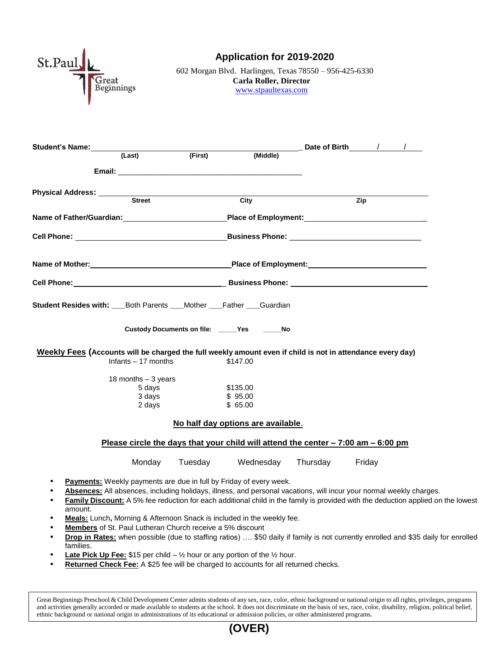

## **Application for 2019-2020**

602 Morgan Blvd. Harlingen, Texas 78550 – 956-425-6330 **Carla Roller, Director** [www.stpaultexas.com](http://www.stpaultexas.com/)

| Student's Name: 1 act) (First)                                                                             |                     |         |                                                                                                                                                                                                                                     |          |        |                                                                                                                                   |
|------------------------------------------------------------------------------------------------------------|---------------------|---------|-------------------------------------------------------------------------------------------------------------------------------------------------------------------------------------------------------------------------------------|----------|--------|-----------------------------------------------------------------------------------------------------------------------------------|
|                                                                                                            |                     |         | (Middle)                                                                                                                                                                                                                            |          |        |                                                                                                                                   |
|                                                                                                            |                     |         | <b>Email:</b> Email: The contract of the contract of the contract of the contract of the contract of the contract of the contract of the contract of the contract of the contract of the contract of the contract of the contract o |          |        |                                                                                                                                   |
| Physical Address: ___________                                                                              | Street              |         | City                                                                                                                                                                                                                                |          | Zip    |                                                                                                                                   |
|                                                                                                            |                     |         |                                                                                                                                                                                                                                     |          |        |                                                                                                                                   |
| Name of Father/Guardian: example and place of Employment:                                                  |                     |         |                                                                                                                                                                                                                                     |          |        |                                                                                                                                   |
|                                                                                                            |                     |         |                                                                                                                                                                                                                                     |          |        |                                                                                                                                   |
|                                                                                                            |                     |         |                                                                                                                                                                                                                                     |          |        |                                                                                                                                   |
|                                                                                                            |                     |         |                                                                                                                                                                                                                                     |          |        |                                                                                                                                   |
| Student Resides with: Both Parents __Mother ___Father ___Guardian                                          |                     |         |                                                                                                                                                                                                                                     |          |        |                                                                                                                                   |
|                                                                                                            |                     |         | Custody Documents on file: _____Yes _____No                                                                                                                                                                                         |          |        |                                                                                                                                   |
| Weekly Fees (Accounts will be charged the full weekly amount even if child is not in attendance every day) |                     |         |                                                                                                                                                                                                                                     |          |        |                                                                                                                                   |
|                                                                                                            | Infants - 17 months |         | \$147.00                                                                                                                                                                                                                            |          |        |                                                                                                                                   |
|                                                                                                            | 18 months - 3 years |         |                                                                                                                                                                                                                                     |          |        |                                                                                                                                   |
|                                                                                                            | 5 days              |         | \$135.00                                                                                                                                                                                                                            |          |        |                                                                                                                                   |
|                                                                                                            | 3 days<br>2 days    |         | \$95.00<br>\$65.00                                                                                                                                                                                                                  |          |        |                                                                                                                                   |
|                                                                                                            |                     |         | No half day options are available.                                                                                                                                                                                                  |          |        |                                                                                                                                   |
|                                                                                                            |                     |         | Please circle the days that your child will attend the center $-7:00$ am $-6:00$ pm                                                                                                                                                 |          |        |                                                                                                                                   |
|                                                                                                            | Monday              | Tuesday | Wednesday                                                                                                                                                                                                                           | Thursday | Friday |                                                                                                                                   |
| $\bullet$                                                                                                  |                     |         | Payments: Weekly payments are due in full by Friday of every week.                                                                                                                                                                  |          |        |                                                                                                                                   |
| ٠                                                                                                          |                     |         | Absences: All absences, including holidays, illness, and personal vacations, will incur your normal weekly charges.                                                                                                                 |          |        |                                                                                                                                   |
| amount.                                                                                                    |                     |         |                                                                                                                                                                                                                                     |          |        | Family Discount: A 5% fee reduction for each additional child in the family is provided with the deduction applied on the lowest  |
| $\bullet$                                                                                                  |                     |         | Meals: Lunch, Morning & Afternoon Snack is included in the weekly fee.                                                                                                                                                              |          |        |                                                                                                                                   |
| Members of St. Paul Lutheran Church receive a 5% discount                                                  |                     |         |                                                                                                                                                                                                                                     |          |        |                                                                                                                                   |
| $\bullet$                                                                                                  |                     |         |                                                                                                                                                                                                                                     |          |        | Drop in Rates: when possible (due to staffing ratios)  \$50 daily if family is not currently enrolled and \$35 daily for enrolled |
| families.                                                                                                  |                     |         |                                                                                                                                                                                                                                     |          |        |                                                                                                                                   |

- **Late Pick Up Fee:** \$15 per child 1/2 hour or any portion of the 1/2 hour.
- **• Returned Check Fee:** A \$25 fee will be charged to accounts for all returned checks.

Great Beginnings Preschool & Child Development Center admits students of any sex, race, color, ethnic background or national origin to all rights, privileges, programs and activities generally accorded or made available to students at the school. It does not discriminate on the basis of sex, race, color, disability, religion, political belief, ethnic background or national origin in administrations of its educational or admission policies, or other administered programs.

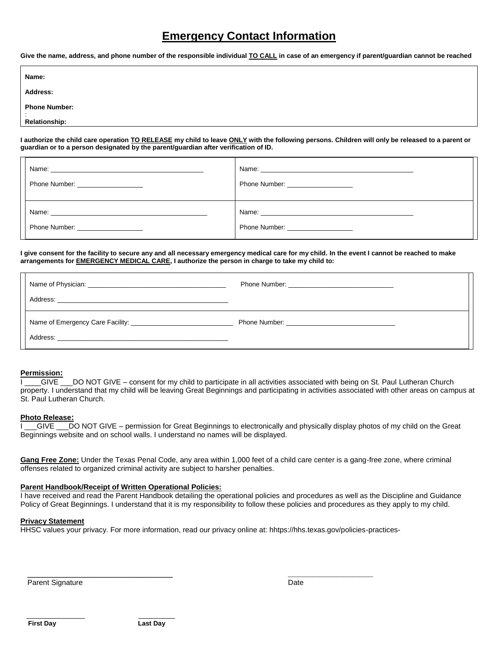# **Emergency Contact Information**

**Give the name, address, and phone number of the responsible individual TO CALL in case of an emergency if parent/guardian cannot be reached**

| Name:                          |  |
|--------------------------------|--|
| Address:                       |  |
| <b>Phone Number:</b><br>$\sim$ |  |
| <b>Relationship:</b>           |  |

**I authorize the child care operation TO RELEASE my child to leave ONLY with the following persons. Children will only be released to a parent or guardian or to a person designated by the parent/guardian after verification of ID.**

| Name: 2008 - 2008 - 2008 - 2008 - 2010 - 2010 - 2010 - 2011 - 2012 - 2013 - 2014 - 2014 - 2014 - 2014 - 2014 - |                                    |
|----------------------------------------------------------------------------------------------------------------|------------------------------------|
| Phone Number: _____________________                                                                            | Phone Number: ____________________ |
|                                                                                                                |                                    |
| Phone Number: ___________________                                                                              | Phone Number: ___________________  |

**I give consent for the facility to secure any and all necessary emergency medical care for my child. In the event I cannot be reached to make arrangements for EMERGENCY MEDICAL CARE, I authorize the person in charge to take my child to:** 

#### **Permission:**

I GIVE DO NOT GIVE – consent for my child to participate in all activities associated with being on St. Paul Lutheran Church property. I understand that my child will be leaving Great Beginnings and participating in activities associated with other areas on campus at St. Paul Lutheran Church.

#### **Photo Release:**

I \_\_GIVE \_\_\_DO NOT GIVE – permission for Great Beginnings to electronically and physically display photos of my child on the Great Beginnings website and on school walls. I understand no names will be displayed.

**Gang Free Zone:** Under the Texas Penal Code, any area within 1,000 feet of a child care center is a gang-free zone, where criminal offenses related to organized criminal activity are subject to harsher penalties.

#### **Parent Handbook/Receipt of Written Operational Policies:**

I have received and read the Parent Handbook detailing the operational policies and procedures as well as the Discipline and Guidance Policy of Great Beginnings. I understand that it is my responsibility to follow these policies and procedures as they apply to my child.

#### **Privacy Statement**

HHSC values your privacy. For more information, read our privacy online at: hhtps://hhs.texas.gov/policies-practices-

\_\_\_\_\_\_\_\_\_\_\_\_\_\_\_\_\_\_\_\_\_\_\_\_\_\_\_\_\_ **\_\_\_\_\_\_\_\_\_\_\_\_\_\_\_\_\_**

Parent Signature Date